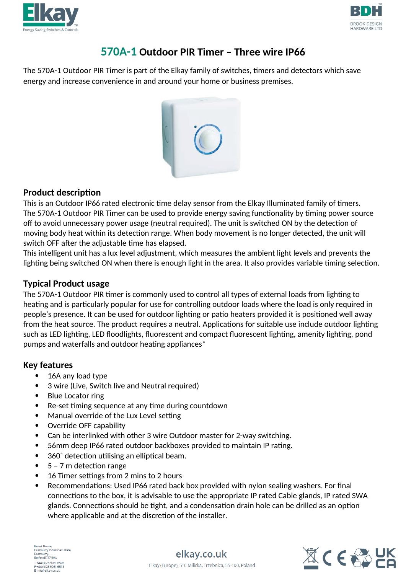



# **570A-1 Outdoor PIR Timer – Three wire IP66**

The 570A-1 Outdoor PIR Timer is part of the Elkay family of switches, timers and detectors which save energy and increase convenience in and around your home or business premises.



#### **Product description**

This is an Outdoor IP66 rated electronic time delay sensor from the Elkay Illuminated family of timers. The 570A-1 Outdoor PIR Timer can be used to provide energy saving functionality by timing power source off to avoid unnecessary power usage (neutral required). The unit is switched ON by the detection of moving body heat within its detection range. When body movement is no longer detected, the unit will switch OFF after the adjustable time has elapsed.

This intelligent unit has a lux level adjustment, which measures the ambient light levels and prevents the lighting being switched ON when there is enough light in the area. It also provides variable timing selection.

## **Typical Product usage**

The 570A-1 Outdoor PIR timer is commonly used to control all types of external loads from lighting to heating and is particularly popular for use for controlling outdoor loads where the load is only required in people's presence. It can be used for outdoor lighting or patio heaters provided it is positioned well away from the heat source. The product requires a neutral. Applications for suitable use include outdoor lighting such as LED lighting, LED floodlights, fluorescent and compact fluorescent lighting, amenity lighting, pond pumps and waterfalls and outdoor heating appliances\*

### **Key features**

- 16A any load type
- 3 wire (Live, Switch live and Neutral required)
- Blue Locator ring
- Re-set timing sequence at any time during countdown
- Manual override of the Lux Level setting
- Override OFF capability
- Can be interlinked with other 3 wire Outdoor master for 2-way switching.
- 56mm deep IP66 rated outdoor backboxes provided to maintain IP rating.
- 360˚ detection utilising an elliptical beam.
- 5 7 m detection range
- 16 Timer settings from 2 mins to 2 hours
- Recommendations: Used IP66 rated back box provided with nylon sealing washers. For final connections to the box, it is advisable to use the appropriate IP rated Cable glands, IP rated SWA glands. Connections should be tight, and a condensation drain hole can be drilled as an option where applicable and at the discretion of the installer.

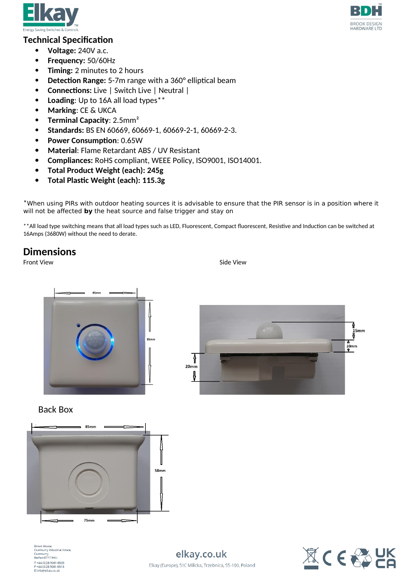



#### **Technical Specification**

- **Voltage:** 240V a.c.
- **Frequency:** 50/60Hz
- **Timing:** 2 minutes to 2 hours
- **Detection Range:** 5-7m range with a 360° elliptical beam
- **Connections:** Live | Switch Live | Neutral |
- **Loading**: Up to 16A all load types\*\*
- **Marking**: CE & UKCA
- **Terminal Capacity: 2.5mm<sup>2</sup>**
- **Standards:** BS EN 60669, 60669-1, 60669-2-1, 60669-2-3.
- **Power Consumption**: 0.65W
- **Material**: Flame Retardant ABS / UV Resistant
- **Compliances:** RoHS compliant, WEEE Policy, ISO9001, ISO14001.
- **Total Product Weight (each): 245g**
- **Total Plastic Weight (each): 115.3g**

\*When using PIRs with outdoor heating sources it is advisable to ensure that the PIR sensor is in a position where it will not be affected **by** the heat source and false trigger and stay on

\*\*All load type switching means that all load types such as LED, Fluorescent, Compact fluorescent, Resistive and Induction can be switched at 16Amps (3680W) without the need to derate.

> ſ  $20<sub>mm</sub>$ ≬

### **Dimensions**

Front View Side View Side View Side View Side View Side View Side View Side View Side View Side View Side View







orook nouse;<br>Dunmurry Industrial Estate Dunmurry,<br>Belfast BT17 9HU benasconn 5no<br>T +44 (0)28 9061 6505<br>F +44 (0)28 9061 6518<br>E info@elkay.co.uk

elkay.co.uk Elkay (Europe), 51C Milicka, Trzebnica, 55-100, Poland



1 15<sub>mm</sub>

 $\frac{10}{9}$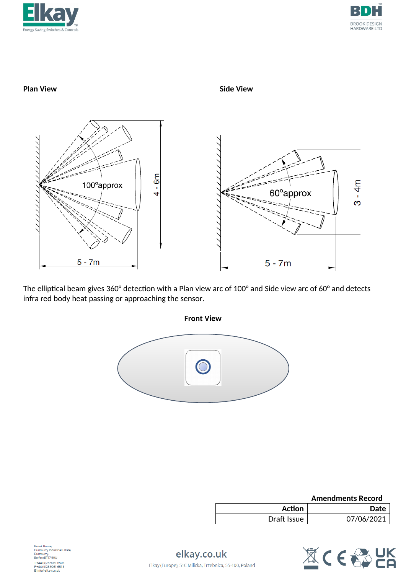





The elliptical beam gives 360° detection with a Plan view arc of 100° and Side view arc of 60° and detects infra red body heat passing or approaching the sensor.



|             | <b>Amendments Record</b> |
|-------------|--------------------------|
| Action      | <b>Date</b>              |
| Draft Issue | 07/06/2021               |



nouse,<br>iurry Industrial Estate, Dunmurry,<br>Belfast BT17 9HU T +44 (0)28 9061 6505<br>F +44 (0)28 9061 6505<br>E info@elkay.co.uk

elkay.co.uk Elkay (Europe), 51C Milicka, Trzebnica, 55-100, Poland

**Front View**